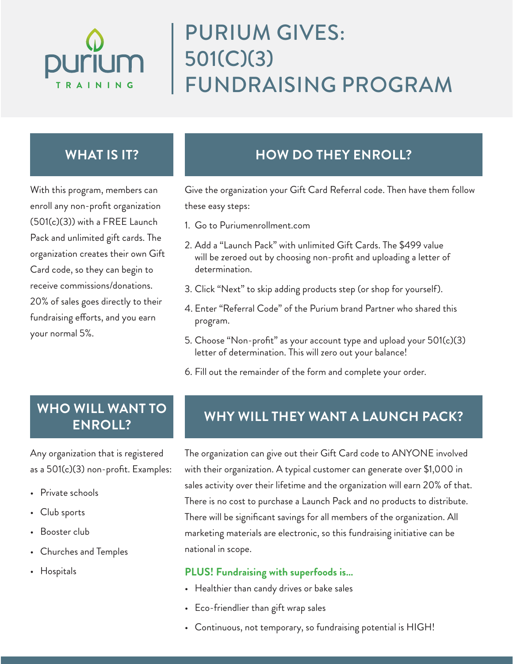

# PURIUM GIVES: 501(C)(3) FUNDRAISING PROGRAM

## **WHAT IS IT?**

With this program, members can enroll any non-profit organization (501(c)(3)) with a FREE Launch Pack and unlimited gift cards. The organization creates their own Gift Card code, so they can begin to receive commissions/donations. 20% of sales goes directly to their fundraising efforts, and you earn your normal 5%.

# **HOW DO THEY ENROLL?**

Give the organization your Gift Card Referral code. Then have them follow these easy steps:

- 1. Go to Puriumenrollment.com
- 2. Add a "Launch Pack" with unlimited Gift Cards. The \$499 value will be zeroed out by choosing non-profit and uploading a letter of determination.
- 3. Click "Next" to skip adding products step (or shop for yourself).
- 4. Enter "Referral Code" of the Purium brand Partner who shared this program.
- 5. Choose "Non-profit" as your account type and upload your 501(c)(3) letter of determination. This will zero out your balance!
- 6. Fill out the remainder of the form and complete your order.

# **ENROLL?**

Any organization that is registered as a 501(c)(3) non-profit. Examples:

- Private schools
- Club sports
- Booster club
- Churches and Temples
- Hospitals

# WHO WILL WANT TO WHY WILL THEY WANT A LAUNCH PACK?

The organization can give out their Gift Card code to ANYONE involved with their organization. A typical customer can generate over \$1,000 in sales activity over their lifetime and the organization will earn 20% of that. There is no cost to purchase a Launch Pack and no products to distribute. There will be significant savings for all members of the organization. All marketing materials are electronic, so this fundraising initiative can be national in scope.

#### **PLUS! Fundraising with superfoods is…**

- Healthier than candy drives or bake sales
- Eco-friendlier than gift wrap sales
- Continuous, not temporary, so fundraising potential is HIGH!